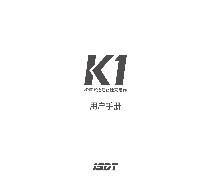

**用户手册**

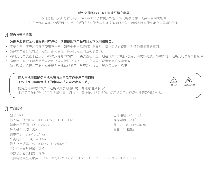#### **感谢您购买ISDT K1 智能平衡充电器。**

欢迎您登陆艾斯特官方网站www.isdt.co了解更多智能平衡充电器功能,购买丰富相关配件。 由于产品功能的不断更新,您手中的说明书可能会与实际操作有所出入。请以实际智能平衡充电器功能为准。

# **警告与安全提示**

#### **为确保您的安全和良好的用户体验,请在使用本产品前阅读本说明和警告。**

- 不要在无人值守的情况下使用充电器,如充电器出现任何功能异常,请立即终止使用并对照说明书查阅原因;
- 确保充电器远离灰尘、潮湿、雨和高温, 避免阳光直射及强烈震动;
- 请将充电器放置于耐热、不易燃及绝缘的表面。不要放置在车座、地毯等类似的地方使用。请确保易燃、易爆炸物品远离充电器的操作区域;
- 确保您已充分了解所使用电池的充放电特性及规格,并在充电器中设置恰当的充电参数。 如参数设定错误,可能对充电器及电池造成损坏,甚至发生火灾、爆炸等灾难性后果。



## **产品规格**

型号:K1 输入电压范围:AC 100~240V / DC 10~30V 输出电压范围 :DC 1~26.7V 最大输入电流 :20A 充电电流:0.2~10.0A ×2 平衡电流:0.5A/Cell Max 最大充电功率:AC 100W / DC 250W×2 电池电压异常报警:支持 串数设定错误报警:支持 支持电池类型及串数: LiFe, LiIon, LiPo, LiHv, ULiHv 1~6S; Pb 1~10S; NiMH/Cd 1~16S 工作温度:0℃~40℃ 存储温度:-20℃~60℃ 尺寸:135×115×49 mm 重量:约485g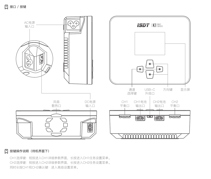

# **按键操作说明(待机界面下)**

CH1选择键:短按进入CH1详细参数界面,长按进入CH1任务设置菜单。 CH2选择键:短按进入CH2详细参数界面,长按进入CH2任务设置菜单。 同时长按CH1和CH2确认键:进入高级设置菜单。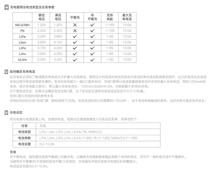# **充电器预设电池类型及任务参数**

|         | 额定<br>电压 | 满充<br>电压 | 平衡充      | 非<br>平衡充     | 支持<br>串数  | 最大充<br>电电流 |
|---------|----------|----------|----------|--------------|-----------|------------|
| NiCd/MH | 1.20V    | 1.40V    | $\times$ | $\checkmark$ | $1 - 16S$ | 10.0A      |
| Pb      | 2.00V    | 2.40V    | ×        | $\checkmark$ | $1 - 10S$ | 10.0A      |
| LiFe    | 3.20V    | 3.65V    |          |              | $1 - 6S$  | 10.0A      |
| Lilon   | 3.60V    | 4.10V    |          |              | $1 - 6S$  | 10.0A      |
| LiPo    | 3.70V    | 4.20V    |          | $\checkmark$ | $1 - 6S$  | 10.0A      |
| LiHv    | 3.80V    | 4.35V    |          |              | $1 - 6S$  | 10.0A      |
| ULiHv   | 3.90V    | 4.45V    |          |              | $1 - 6S$  | 10.0A      |

# **[2]** 如何确定充电电流

在充电前必须先了解清楚所用电池允许的最大充电电流,使用过大的电流对电池充电会对电池的寿命造成影响甚至损坏,过大的电流也会造成 充电过程中电池发热甚至爆炸。电池充放电能力一般以C数来标识,充电C数乘以电池容量就是电池所支持的最大充电电流,例如1000mAh的 电池,标识充电能力是5C,那么最大充电电流为:1000×5=5000mA=5A,也就是最大支持5A充电。

对于锂电池而言,如果无法确定电池充电C数,为了安全起见请将充电电流设定在不大于1C的值。

充电C数与充电时间的参考关系:

充电时间≧60分钟/充电C数(例如使用1C充电,充电完成时间大约需要60~70分钟),由于电池转换能效的差异,此时间有可能会有所延长。

# **任务设定**

将充电器与电源连接上声,连接好电池,短按对应通道按键进入任务设定菜单,菜单项如下:

| 任务   | 充电.                                                                |
|------|--------------------------------------------------------------------|
| 电池类型 | LiFe, Lilon, LiPo, LiHv, ULiHv, Pb, NiMh/Cd                        |
| 电池串数 | LiFe, Lilon, LiPo, LiHv, ULiHv (1~6S); Pb (1~10S); NiMH/Cd (1~16S) |
| 电流设置 | $0.2 - 10.0A$                                                      |

## **充电**

对于锂电池,强烈建议连接平衡端口均衡充电,以确保充电器能够准确监测每个电池的电压,并对不一致的电芯进行平衡操作。 当使用非平衡模式(不连接到电池平衡口)充电时,充电器在开始任务前会有相应的报警提示。 电流设定范围为0.2~10.0A。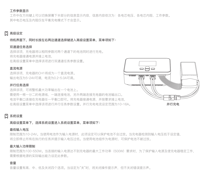#### **工作参数显示**

工作中在方向键上可以切换屏幕下半部分的信息显示内容,信息内容依次为:各电芯电压、各电芯内阻、工作参数。 其中电芯电压及内阻仅在平衡充电模式下才会显示。

# **高级设定**

**待机界面下,同时长按左右两边通道选择键进入高级设置菜单,菜单项如下:**

#### **双通道任务选择**

选择该项,充电器将以相同参数对两个通道下的电池同时进行充电。 将充电器接通电源并接上电池,

在高级设置菜单中选择该项进行双通道任务参数设置。

#### **直流电源**

选择该项,充电器的CH1将成为一个直流电源。 输出电压为5~24V可调,电流为0.2~5.0A可调。

#### **并行任务选择**

选择该项,可将整机最大功率输出在一个电池上。 需使用一根一分二的电源线,一端连接电池,另外两端连接充电器的电池输出口。 电池平衡口连接在充电器任一平衡口即可。将充电器接通电源,并按要求接上电池, 在高级设置菜单中选择该项进行并行任务参数设置。并行充电电流设定范围为10~16A。

# **系统设置**

## **高级设置菜单下,选择系统设置进入系统设置菜单,菜单项如下:**

#### **最低输入电压**

限制范围为10~24V。当使用电池作为输入电源时,此项设定可以保护电池不会过放。当充电器检测到输入电压低于设定值, 将立即停止所有在执行的任务并提示输入电压过低。当使用电池组作为电源时,可保护电池不被过放。

## **最大输入功率限制**

限制范围为100~550W。当连接的输入电源达不到充电器的最大工作功率(500W)要求时,为了保护输入电源及使充电器稳定工作, 需要根据电源的实际输出能力设定此参数。

#### **音量**

音量设置有高、中、低及关闭四个选项。当设定为"关"时,将关闭操作提示声,但不关闭错误提示声。



**并行充电**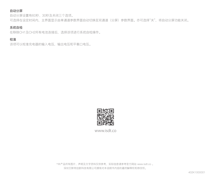## **自动分屏**

自动分屏设置有60秒、30秒及关闭三个选项。 可选择在设定时间内,主界面显示由单通道参数界面自动切换至双通道(分屏)参数界面。亦可选择"关",将自动分屏功能关闭。

## **系统自检**

在移除CH1及CH2所有电池连接后,选择该项进行系统自检操作。

# **校准**

该项可以校准充电器的输入电压,输出电压和平衡口电压。



www.isdt.co

\*本产品所有图片、声明及文字资料仅供参考,实际信息请参考官方网站 www.isdt.co 。 深圳艾斯特创新科技有限公司拥有对本说明书内容的最终解释权和修改权。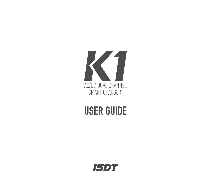

# USER GUIDE

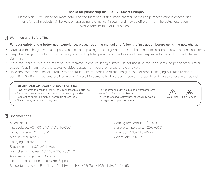## **Thanks for purchasing the ISDT K1 Smart Charger.**

Please visit: www.isdt.co for more details on the functions of this smart charger, as well as purchase various accessories. Functions of products will be kept on upgrading, the manual in your hand may be different from the actual operation, please refer to the actual functions.

# **Warnings and Safety Tips**

#### **For your safety and a better user experience, please read this manual and follow the instruction before using the new charger.**

- Never use the charger without supervision, please stop using the charger and refer to the manual for reasons if any functional abnormity. •
- Keep the charger away from dust, humidity, rain and high temperature, as well as avoid direct exposure to the sunlight and intense vibration.
- Place the charger on a heat-resisting, non-flammable and insulating surface. Do not use it on the car's seats, carpet or other similar places. Keep inflammable and explosive objects away from operation areas of the charger.
- Read the instruction manual carefully to be familiar with the features of the charger, and set proper charging parameters before operating. Setting the parameters incorrectly will result in damage to the product, personal property and cause serious injury as well.

#### **NEVER USE CHARGER UNSUPERVISED**

- Never attempt to charge primary (non-rechargeable) batteries.
- Batteries pose a severe risk of fire if not properly handled.
- Read entire operation manual before using charger.
- This unit may emit heat during use.

• Only operate this device in a cool ventilated area away from flammable objects.





**Specifications**

Model No.: K1 Input voltage: AC 100~240V / DC 10~30V Output voltage: DC 1~26.7V Max. input current: 20A Charging current: 0.2~10.0A ×2 Balance current: 0.5A/Cell Max Max. charging power: AC 100W/DC 250W×2 Abnormal voltage alarm: Support Incorrect cell count setting alarm: Support Supported battery: LiFe, Lilon, LiPo, LiHy, ULiHy 1~6S; Pb 1~10S; NiMH/Cd 1~16S

Working temperature: 0℃~40℃ Storage temperature: -20℃~60℃ Dimension: 135×115×49 mm Weight: About 485g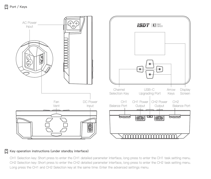

# **Key operation instructions (under standby interface)**

CH1 Selection key: Short press to enter the CH1 detailed parameter interface, long press to enter the CH1 task setting menu. CH2 Selection key: Short press to enter the CH2 detailed parameter interface, long press to enter the CH2 task setting menu. Long press the CH1 and CH2 Selection key at the same time: Enter the advanced settings menu.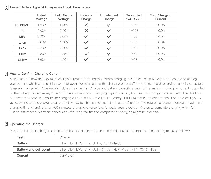|  |  |  |  | Preset Battery Type of Charger and Task Parameters |
|--|--|--|--|----------------------------------------------------|
|  |  |  |  |                                                    |

|         | Rated<br>Voltage | Full Charge<br>Voltage | Balance<br>Charge | Unbalanced<br>Charge | Supported<br>Cell Count | Max. Charging<br>Current |
|---------|------------------|------------------------|-------------------|----------------------|-------------------------|--------------------------|
| NiCd/MH | 1.20V            | 1.40V                  | ×                 | $\checkmark$         | $1 - 16S$               | 10.0A                    |
| Pb      | 2.00V            | 2.40V                  | $\times$          | $\checkmark$         | $1 - 10S$               | 10.0A                    |
| LiFe    | 3.20V            | 3.65V                  |                   |                      | $1 - 6S$                | 10.0A                    |
| Lilon   | 3.60V            | 4.10V                  |                   |                      | $1 - 6S$                | 10.0A                    |
| LiPo    | 3.70V            | 4.20V                  | $\checkmark$      | $\checkmark$         | $1 - 6S$                | 10.0A                    |
| LiHv    | 3.80V            | 4.35V                  |                   |                      | $1 - 6S$                | 10.0A                    |
| ULiHv   | 3.90V            | 4.45V                  |                   |                      | $1 - 6S$                | 10.0A                    |

# **How to Confirm Charging Current**

Make sure to know the maximum charging current of the battery before charging, never use excessive current to charge to damage your battery, which will result in over heat even explosion during the charging process.The charging and discharging capacity of battery is usually marked with C value. Multiplying the charging C value and battery capacity equals to the maximum charging current supported by the battery. For example, for a 1000mAh battery with a charging capacity of 5C, the maximum charging current would be 1000×5= 5000mA; therefore, the maximum charging current is 5A. For a lithium battery, if it is impossible to confirm the supported charging C value, please set the charging current below 1C, for the sake of its (lithium battery) safety. The reference relation between C value and charging time: charging time ≥60 minutes/ charging C value (e.g. it needs around 60~70 minutes to complete charging with 1C). Due to differences in battery conversion efficiency, the time to complete the charging might be extended.

# **D** Operating the Charger

| Task                   | Charge                                                             |
|------------------------|--------------------------------------------------------------------|
| Battery                | LiFe, Lilon, LiPo, LiHv, ULiHv, Pb, NiMh/Cd                        |
| Battery and cell count | LiFe, Lilon, LiPo, LiHv, ULiHv (1~6S); Pb (1~10S); NiMH/Cd (1~16S) |
| Current                | $0.2 - 10.0A$                                                      |

Power on K1 smart charger, connect the battery, and short press the middle button to enter the task setting menu as follows: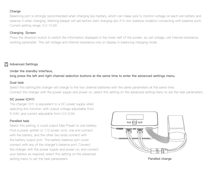## **Charge**

Balancing port is strongly recommended when charging lipo battery, which can make sure to monitor voltage on each cell battery and balance it when charging. Warning beeper will yell before start charging lipo if in non-balance mode(no connecting with balance port). Current setting range: 0.2~10.0A

# **Charging Screen**

Press the direction button to switch the information displayed in the lower half of the screen, as cell voltage, cell internal resistance, working parameter. The cell voltage and internal resistance only on display in balancing charging mode.

# **Advanced Settings**

## **Under the standby interface,**

# **long press the left and right channel selection buttons at the same time to enter the advanced settings menu.**

#### **Dual task**

Select this setting, the charger will charge to the two channel batteries with the same parameters at the same time. Connect the charger with the power supply and power on, select this setting on the advanced setting menu to set the task parameters.

# **DC power (CH1)**

The charger CH1 is equivalent to a DC power supply when selecting this function, with output voltage adjustable from 5~24V, and current adjustable from 0.2~5.0A.

## **Paralled task**

Select this setting, it could output Max Power to one battery. Find a power splitter or 1/2 power cord, one end connect with the battery, and the other two ends connect with the battery output port. The battery balance port could connect with any of the charger's balance port. Connect the charger with the power supply and power on, and connect your battery as required, select this setting on the advanced setting menu to set the task parameters. **Paralled charge**